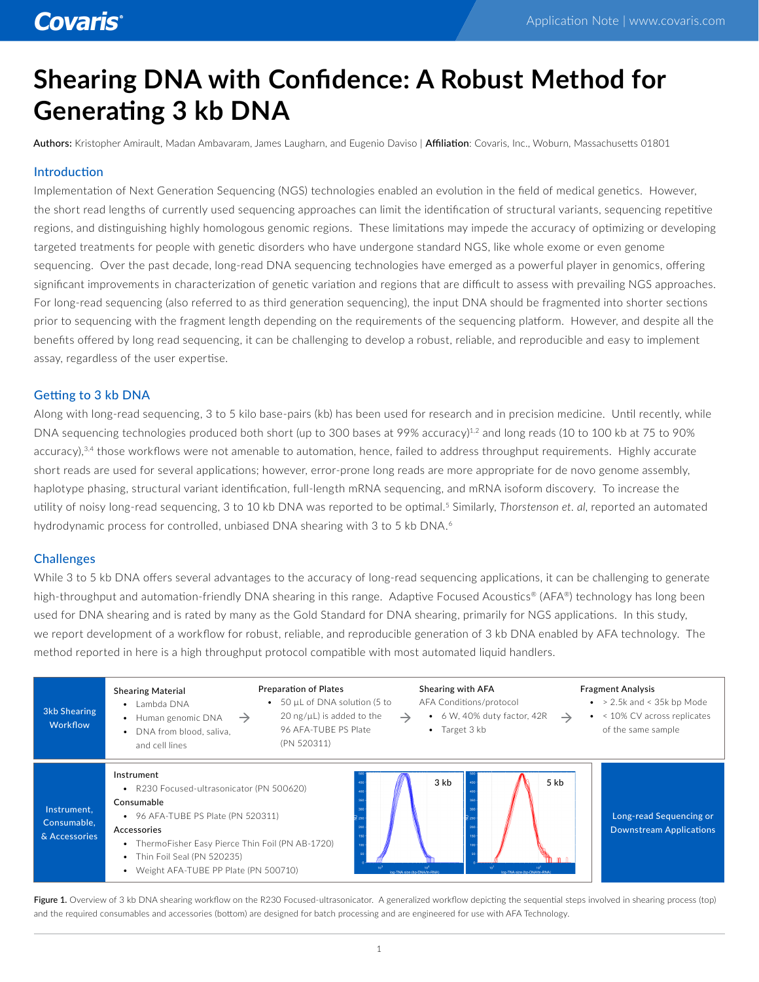# **Shearing DNA with Confidence: A Robust Method for Generating 3 kb DNA**

Authors: Kristopher Amirault, Madan Ambavaram, James Laugharn, and Eugenio Daviso | Affiliation: Covaris, Inc., Woburn, Massachusetts 01801

#### Introduction

Implementation of Next Generation Sequencing (NGS) technologies enabled an evolution in the field of medical genetics. However, the short read lengths of currently used sequencing approaches can limit the identification of structural variants, sequencing repetitive regions, and distinguishing highly homologous genomic regions. These limitations may impede the accuracy of optimizing or developing targeted treatments for people with genetic disorders who have undergone standard NGS, like whole exome or even genome sequencing. Over the past decade, long-read DNA sequencing technologies have emerged as a powerful player in genomics, offering significant improvements in characterization of genetic variation and regions that are difficult to assess with prevailing NGS approaches. For long-read sequencing (also referred to as third generation sequencing), the input DNA should be fragmented into shorter sections prior to sequencing with the fragment length depending on the requirements of the sequencing platform. However, and despite all the benefits offered by long read sequencing, it can be challenging to develop a robust, reliable, and reproducible and easy to implement assay, regardless of the user expertise.

### Getting to 3 kb DNA

Along with long-read sequencing, 3 to 5 kilo base-pairs (kb) has been used for research and in precision medicine. Until recently, while DNA sequencing technologies produced both short (up to 300 bases at 99% accuracy)<sup>1,2</sup> and long reads (10 to 100 kb at 75 to 90% accuracy),<sup>3,4</sup> those workflows were not amenable to automation, hence, failed to address throughput requirements. Highly accurate short reads are used for several applications; however, error-prone long reads are more appropriate for de novo genome assembly, haplotype phasing, structural variant identification, full-length mRNA sequencing, and mRNA isoform discovery. To increase the utility of noisy long-read sequencing, 3 to 10 kb DNA was reported to be optimal.5 Similarly, *Thorstenson et. al*, reported an automated hydrodynamic process for controlled, unbiased DNA shearing with 3 to 5 kb DNA.<sup>6</sup>

#### Challenges

While 3 to 5 kb DNA offers several advantages to the accuracy of long-read sequencing applications, it can be challenging to generate high-throughput and automation-friendly DNA shearing in this range. Adaptive Focused Acoustics® (AFA®) technology has long been used for DNA shearing and is rated by many as the Gold Standard for DNA shearing, primarily for NGS applications. In this study, we report development of a workflow for robust, reliable, and reproducible generation of 3 kb DNA enabled by AFA technology. The method reported in here is a high throughput protocol compatible with most automated liquid handlers.

| 3kb Shearing<br>Workflow                    | <b>Preparation of Plates</b><br><b>Shearing Material</b><br>• 50 µL of DNA solution (5 to<br>Lambda DNA<br>$20 \text{ ng/}\mu\text{L}$ ) is added to the<br>Human genomic DNA<br>$\rightarrow$<br>96 AFA-TUBE PS Plate<br>DNA from blood, saliva,<br>(PN 520311)<br>and cell lines | Shearing with AFA<br>AFA Conditions/protocol<br>6 W, 40% duty factor, 42R<br>$\bullet$<br>$\rightarrow$<br>$\rightarrow$<br>$\bullet$ Target 3 kb | <b>Fragment Analysis</b><br>$\bullet$ > 2.5k and < 35k bp Mode<br>$\bullet$ < 10% CV across replicates<br>of the same sample |
|---------------------------------------------|------------------------------------------------------------------------------------------------------------------------------------------------------------------------------------------------------------------------------------------------------------------------------------|---------------------------------------------------------------------------------------------------------------------------------------------------|------------------------------------------------------------------------------------------------------------------------------|
| Instrument.<br>Consumable,<br>& Accessories | Instrument<br>R230 Focused-ultrasonicator (PN 500620)<br>Consumable<br>• 96 AFA-TUBE PS Plate (PN 520311)<br>Accessories<br>ThermoFisher Easy Pierce Thin Foil (PN AB-1720)<br>Thin Foil Seal (PN 520235)<br>Weight AFA-TUBE PP Plate (PN 500710)                                  | 3 kb<br>5 <sub>kb</sub><br>on-TNA size (bn-DNA/tn-RNA<br>log-TNA size (bo-DNA/tn-RNA                                                              | Long-read Sequencing or<br><b>Downstream Applications</b>                                                                    |

Figure 1. Overview of 3 kb DNA shearing workflow on the R230 Focused-ultrasonicator. A generalized workflow depicting the sequential steps involved in shearing process (top) and the required consumables and accessories (bottom) are designed for batch processing and are engineered for use with AFA Technology.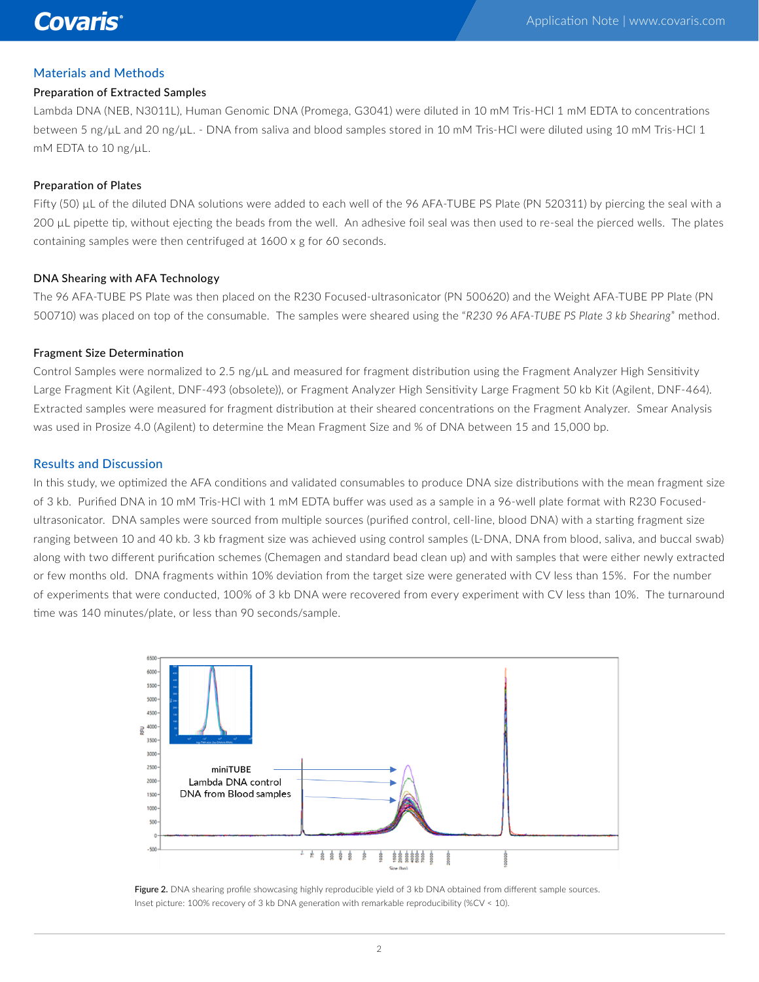## Materials and Methods

#### Preparation of Extracted Samples

Lambda DNA (NEB, N3011L), Human Genomic DNA (Promega, G3041) were diluted in 10 mM Tris-HCl 1 mM EDTA to concentrations between 5 ng/µL and 20 ng/µL. - DNA from saliva and blood samples stored in 10 mM Tris-HCl were diluted using 10 mM Tris-HCl 1 mM EDTA to 10 ng/µL.

#### Preparation of Plates

Fifty (50) µL of the diluted DNA solutions were added to each well of the 96 AFA-TUBE PS Plate (PN 520311) by piercing the seal with a 200 µL pipette tip, without ejecting the beads from the well. An adhesive foil seal was then used to re-seal the pierced wells. The plates containing samples were then centrifuged at 1600 x g for 60 seconds.

#### DNA Shearing with AFA Technology

The 96 AFA-TUBE PS Plate was then placed on the R230 Focused-ultrasonicator (PN 500620) and the Weight AFA-TUBE PP Plate (PN 500710) was placed on top of the consumable. The samples were sheared using the "*R230 96 AFA-TUBE PS Plate 3 kb Shearing*" method.

#### Fragment Size Determination

Control Samples were normalized to 2.5 ng/ $\mu$ L and measured for fragment distribution using the Fragment Analyzer High Sensitivity Large Fragment Kit (Agilent, DNF-493 (obsolete)), or Fragment Analyzer High Sensitivity Large Fragment 50 kb Kit (Agilent, DNF-464). Extracted samples were measured for fragment distribution at their sheared concentrations on the Fragment Analyzer. Smear Analysis was used in Prosize 4.0 (Agilent) to determine the Mean Fragment Size and % of DNA between 15 and 15,000 bp.

#### Results and Discussion

In this study, we optimized the AFA conditions and validated consumables to produce DNA size distributions with the mean fragment size of 3 kb. Purified DNA in 10 mM Tris-HCl with 1 mM EDTA buffer was used as a sample in a 96-well plate format with R230 Focusedultrasonicator. DNA samples were sourced from multiple sources (purified control, cell-line, blood DNA) with a starting fragment size ranging between 10 and 40 kb. 3 kb fragment size was achieved using control samples (L-DNA, DNA from blood, saliva, and buccal swab) along with two different purification schemes (Chemagen and standard bead clean up) and with samples that were either newly extracted or few months old. DNA fragments within 10% deviation from the target size were generated with CV less than 15%. For the number of experiments that were conducted, 100% of 3 kb DNA were recovered from every experiment with CV less than 10%. The turnaround time was 140 minutes/plate, or less than 90 seconds/sample.



Figure 2. DNA shearing profile showcasing highly reproducible yield of 3 kb DNA obtained from different sample sources. Inset picture: 100% recovery of 3 kb DNA generation with remarkable reproducibility (%CV < 10).